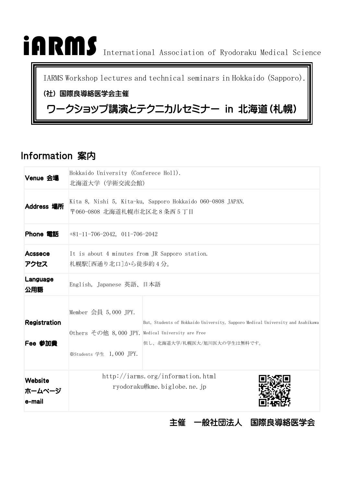# iARMS International Association of Ryodoraku Medical Science

IARMS Workshop lectures and technical seminars in Hokkaido (Sapporo).

#### (社) 国際良導絡医学会主催

# ワークショップ講演とテクニカルセミナー in 北海道(札幌)

# Information 案内

| Venue 会場                       | Hokkaido University (Conferece Holl).<br>北海道大学 (学術交流会館)                                                                                                                                                                 |  |  |  |  |
|--------------------------------|-------------------------------------------------------------------------------------------------------------------------------------------------------------------------------------------------------------------------|--|--|--|--|
| Address 場所                     | Kita 8, Nishi 5, Kita-ku, Sapporo Hokkaido 060-0808 JAPAN.<br>〒060-0808 北海道札幌市北区北8条西5丁目                                                                                                                                 |  |  |  |  |
| Phone 電話                       | $+81-11-706-2042$ , 011-706-2042                                                                                                                                                                                        |  |  |  |  |
| Acssece<br>アクセス                | It is about 4 minutes from JR Sapporo station.<br>札幌駅[西通り北口]から徒歩約4分。                                                                                                                                                    |  |  |  |  |
| Language<br>公用語                | English, Japanese 英語、日本語                                                                                                                                                                                                |  |  |  |  |
| <b>Registration</b><br>Fee 参加費 | Member 会員 $5,000$ JPY.<br>But, Students of Hokkaido University, Sapporo Medical University and Asahikawa<br>Others その他 8,000 JPY. Medical University are Free<br>但し、北海道大学/札幌医大/旭川医大の学生は無料です。<br>※Students 学生 1,000 JPY. |  |  |  |  |
| Website<br>ホームページ<br>e-mail    | http://iarms.org/information.html<br>ryodoraku@kme.biglobe.ne.jp                                                                                                                                                        |  |  |  |  |

主催 一般社団法人 国際良導絡医学会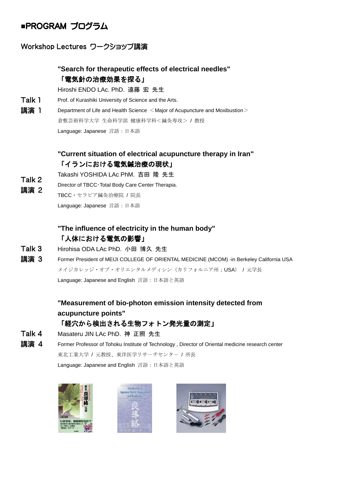## **■**PROGRAM プログラム

#### Workshop Lectures ワークショップ講演

#### **"Search for therapeutic effects of electrical needles"** 「電気針の治療効果を探る」

Hiroshi ENDO LAc. PhD. 遠藤 宏 先生

- Talk 1 Prof. of Kurashiki University of Science and the Arts.
- 講演 1 Department of Life and Health Science <Major of Acupuncture and Moxibustion > 倉敷芸術科学大学 生命科学部 健康科学科<鍼灸専攻> / 教授 Language: Japanese 言語: 日本語

#### **"Current situation of electrical acupuncture therapy in Iran"** 「イランにおける電気鍼治療の現状」

- Talk 2 Takashi YOSHIDA LAc PhM. 吉田 隆 先生
- 講演 2 Director of TBCC・Total Body Care Center Therapia.
	- TBCC・セラピア鍼灸治療院 / 院長

Language: Japanese 言語: 日本語

#### **"The influence of electricity in the human body"** 「人体における電気の影響」

- Talk 3 Hirohisa ODA LAc PhD. 小田 博久 先生
- 講演 3 Former President of MEIJI COLLEGE OF ORIENTAL MEDICINE (MCOM) -in Berkeley California USA メイジカレッジ・オブ・オリエンタルメディシン(カリフォルニア州;USA) / 元学長 Language: Japanese and English 言語:日本語と英語

#### **"Measurement of bio-photon emission intensity detected from acupuncture points"** 「経穴から検出される生物フォトン発光量の測定」

- Talk 4 Masateru JIN LAc PhD. 神 正照 先生
- 講演 4 Former Professor of Tohoku Institute of Technology , Director of Oriental medicine research center 東北工業大学 / 元教授、東洋医学リサーチセンター / 所長

Language: Japanese and English 言語:日本語と英語





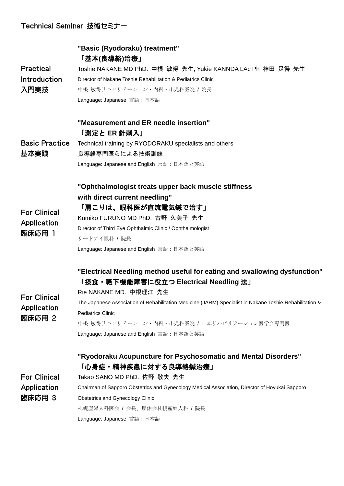### Technical Seminar 技術セミナー

|                       | "Basic (Ryodoraku) treatment"<br>「基本(良導絡)治療」                                                            |  |  |  |  |
|-----------------------|---------------------------------------------------------------------------------------------------------|--|--|--|--|
| <b>Practical</b>      | Toshie NAKANE MD PhD. 中根 敏得 先生, Yukie KANNDA LAc Ph 神田 足得 先生                                            |  |  |  |  |
| <b>Introduction</b>   | Director of Nakane Toshie Rehabilitation & Pediatrics Clinic                                            |  |  |  |  |
| 入門実技                  | 中根 敏得リハビリテーション・内科・小児科医院 / 院長                                                                            |  |  |  |  |
|                       | Language: Japanese 言語: 日本語                                                                              |  |  |  |  |
|                       | "Measurement and ER needle insertion"                                                                   |  |  |  |  |
| <b>Basic Practice</b> | 「測定と ER 針刺入」                                                                                            |  |  |  |  |
|                       | Technical training by RYODORAKU specialists and others                                                  |  |  |  |  |
| 基本実践                  | 良導絡専門医らによる技術訓練                                                                                          |  |  |  |  |
|                       | Language: Japanese and English 言語: 日本語と英語                                                               |  |  |  |  |
|                       | "Ophthalmologist treats upper back muscle stiffness                                                     |  |  |  |  |
|                       | with direct current needling"                                                                           |  |  |  |  |
| <b>For Clinical</b>   | 「肩こりは、眼科医が直流電気鍼で治す」                                                                                     |  |  |  |  |
| Application           | Kumiko FURUNO MD PhD. 古野 久美子 先生                                                                         |  |  |  |  |
| 臨床応用 1                | Director of Third Eye Ophthalmic Clinic / Ophthalmologist                                               |  |  |  |  |
|                       | サードアイ眼科 /院長                                                                                             |  |  |  |  |
|                       | Language: Japanese and English 言語: 日本語と英語                                                               |  |  |  |  |
|                       | "Electrical Needling method useful for eating and swallowing dysfunction"                               |  |  |  |  |
|                       | 「摂食・嚥下機能障害に役立つ Electrical Needling 法」                                                                   |  |  |  |  |
| <b>For Clinical</b>   | Rie NAKANE MD. 中根理江 先生                                                                                  |  |  |  |  |
| Application           | The Japanese Association of Rehabilitation Medicine (JARM) Specialist in Nakane Toshie Rehabilitation & |  |  |  |  |
| 臨床応用 2                | <b>Pediatrics Clinic</b>                                                                                |  |  |  |  |
|                       | 中根 敏得リハビリテーション・内科・小児科医院 / 日本リハビリテーション医学会専門医                                                             |  |  |  |  |
|                       | Language: Japanese and English 言語: 日本語と英語                                                               |  |  |  |  |
|                       | "Ryodoraku Acupuncture for Psychosomatic and Mental Disorders"<br>「心身症・精神疾患に対する良導絡鍼治療」                  |  |  |  |  |
| <b>For Clinical</b>   | Takao SANO MD PhD. 佐野 敬夫 先生                                                                             |  |  |  |  |
| Application           | Chairman of Sapporo Obstetrics and Gynecology Medical Association, Director of Hoyukai Sapporo          |  |  |  |  |
| 臨床応用 3                | <b>Obstetrics and Gynecology Clinic</b>                                                                 |  |  |  |  |
|                       | 札幌産婦人科医会 / 会長、朋佑会札幌産婦人科 / 院長                                                                            |  |  |  |  |
|                       | Language: Japanese 言語: 日本語                                                                              |  |  |  |  |